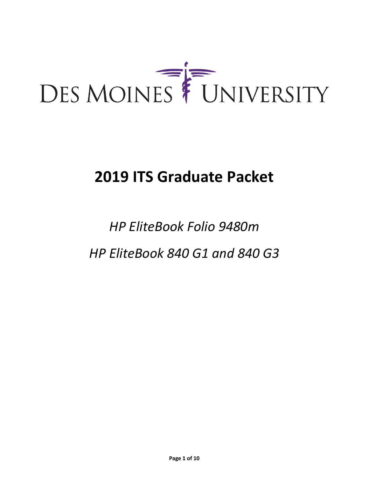

## **2019 ITS Graduate Packet**

# *HP EliteBook Folio 9480m HP EliteBook 840 G1 and 840 G3*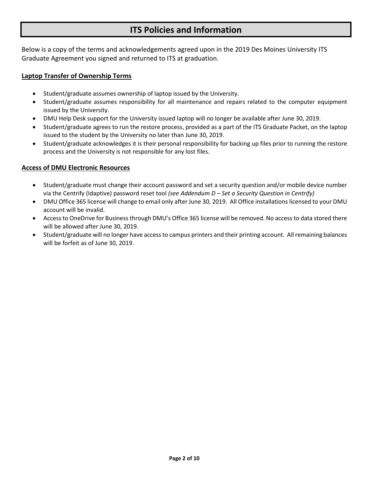## **ITS Policies and Information**

Below is a copy of the terms and acknowledgements agreed upon in the 2019 Des Moines University ITS Graduate Agreement you signed and returned to ITS at graduation.

#### **Laptop Transfer of Ownership Terms**

- Student/graduate assumes ownership of laptop issued by the University.
- Student/graduate assumes responsibility for all maintenance and repairs related to the computer equipment issued by the University.
- DMU Help Desk support for the University issued laptop will no longer be available after June 30, 2019.
- Student/graduate agrees to run the restore process, provided as a part of the ITS Graduate Packet, on the laptop issued to the student by the University no later than June 30, 2019.
- Student/graduate acknowledges it is their personal responsibility for backing up files prior to running the restore process and the University is not responsible for any lost files.

### **Access of DMU Electronic Resources**

- Student/graduate must change their account password and set a security question and/or mobile device number via the Centrify (Idaptive) password reset tool *(see Addendum D – Set a Security Question in Centrify)*
- DMU Office 365 license will change to email only after June 30, 2019. All Office installations licensed to your DMU account will be invalid.
- Access to OneDrive for Business through DMU's Office 365 license will be removed. No access to data stored there will be allowed after June 30, 2019.
- Student/graduate will no longer have access to campus printers and their printing account. All remaining balances will be forfeit as of June 30, 2019.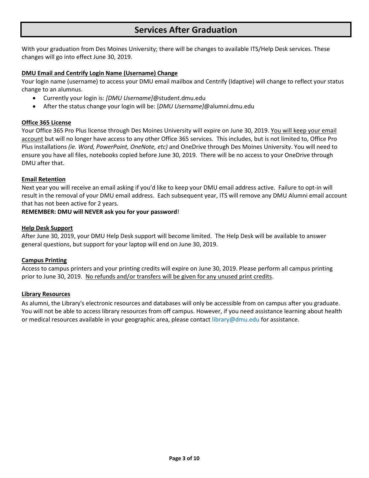## **Services After Graduation**

With your graduation from Des Moines University; there will be changes to available ITS/Help Desk services. These changes will go into effect June 30, 2019.

#### **DMU Email and Centrify Login Name (Username) Change**

Your login name (username) to access your DMU email mailbox and Centrify (Idaptive) will change to reflect your status change to an alumnus.

- Currently your login is: *[DMU Username]*@student.dmu.edu
- After the status change your login will be: [*DMU Username]*@alumni.dmu.edu

#### **Office 365 License**

Your Office 365 Pro Plus license through Des Moines University will expire on June 30, 2019. You will keep your email account but will no longer have access to any other Office 365 services. This includes, but is not limited to, Office Pro Plus installations *(ie. Word, PowerPoint, OneNote, etc)* and OneDrive through Des Moines University. You will need to ensure you have all files, notebooks copied before June 30, 2019. There will be no access to your OneDrive through DMU after that.

#### **Email Retention**

Next year you will receive an email asking if you'd like to keep your DMU email address active. Failure to opt-in will result in the removal of your DMU email address. Each subsequent year, ITS will remove any DMU Alumni email account that has not been active for 2 years.

#### **REMEMBER: DMU will NEVER ask you for your password**!

#### **Help Desk Support**

After June 30, 2019, your DMU Help Desk support will become limited. The Help Desk will be available to answer general questions, but support for your laptop will end on June 30, 2019.

#### **Campus Printing**

Access to campus printers and your printing credits will expire on June 30, 2019. Please perform all campus printing prior to June 30, 2019. No refunds and/or transfers will be given for any unused print credits.

#### **Library Resources**

As alumni, the Library's electronic resources and databases will only be accessible from on campus after you graduate. You will not be able to access library resources from off campus. However, if you need assistance learning about health or medical resources available in your geographic area, please contact library@dmu.edu for assistance.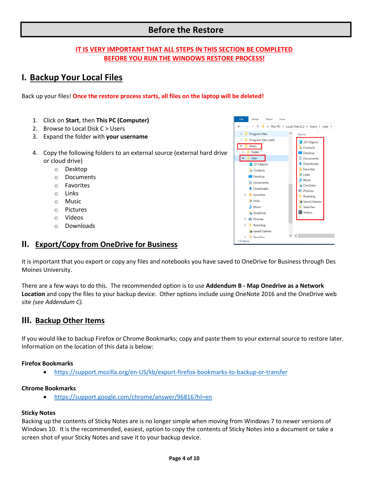## **Before the Restore**

## **IT IS VERY IMPORTANT THAT ALL STEPS IN THIS SECTION BE COMPLETED BEFORE YOU RUN THE WINDOWS RESTORE PROCESS!**

## **I. Backup Your Local Files**

Back up your files! **Once the restore process starts, all files on the laptop will be deleted!**

- 1. Click on **Start**, then **This PC (Computer)**
- 2. Browse to Local Disk C > Users
- 3. Expand the folder with **your username**
- 4. Copy the following folders to an external source (external hard drive or cloud drive)
	- o Desktop
	- o Documents
	- o Favorites
	- o Links
	- o Music
	- o Pictures
	- o Videos
	- o Downloads



## **II. Export/Copy from OneDrive for Business**

It is important that you export or copy any files and notebooks you have saved to OneDrive for Business through Des Moines University.

There are a few ways to do this. The recommended option is to use **Addendum B - Map Onedrive as a Network Location** and copy the files to your backup device. Other options include using OneNote 2016 and the OneDrive web site *(see Addendum C).*

## **III. Backup Other Items**

If you would like to backup Firefox or Chrome Bookmarks; copy and paste them to your external source to restore later. Information on the location of this data is below:

#### **Firefox Bookmarks**

• <https://support.mozilla.org/en-US/kb/export-firefox-bookmarks-to-backup-or-transfer>

#### **Chrome Bookmarks**

• <https://support.google.com/chrome/answer/96816?hl=en>

#### **Sticky Notes**

Backing up the contents of Sticky Notes are is no longer simple when moving from Windows 7 to newer versions of Windows 10. It is the recommended, easiest, option to copy the contents of Sticky Notes into a document or take a screen shot of your Sticky Notes and save it to your backup device.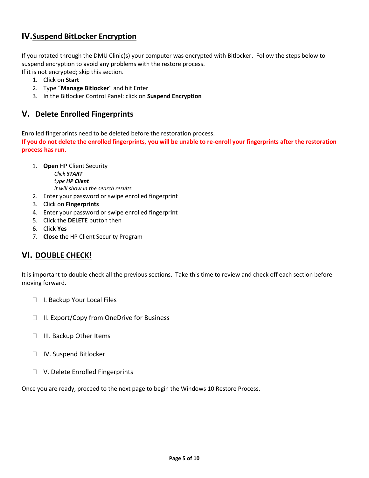## **IV.Suspend BitLocker Encryption**

If you rotated through the DMU Clinic(s) your computer was encrypted with Bitlocker. Follow the steps below to suspend encryption to avoid any problems with the restore process.

If it is not encrypted; skip this section.

- 1. Click on **Start**
- 2. Type "**Manage Bitlocker**" and hit Enter
- 3. In the Bitlocker Control Panel: click on **Suspend Encryption**

## **V. Delete Enrolled Fingerprints**

Enrolled fingerprints need to be deleted before the restoration process.

**If you do not delete the enrolled fingerprints, you will be unable to re-enroll your fingerprints after the restoration process has run.**

1. **Open** HP Client Security

*Click START type HP Client*

*it will show in the search results*

- 2. Enter your password or swipe enrolled fingerprint
- 3. Click on **Fingerprints**
- 4. Enter your password or swipe enrolled fingerprint
- 5. Click the **DELETE** button then
- 6. Click **Yes**
- 7. **Close** the HP Client Security Program

## **VI. DOUBLE CHECK!**

It is important to double check all the previous sections. Take this time to review and check off each section before moving forward.

- □ I. Backup Your Local Files
- $\Box$  II. Export/Copy from OneDrive for Business
- □ III. Backup Other Items
- □ IV. Suspend Bitlocker
- □ V. Delete Enrolled Fingerprints

Once you are ready, proceed to the next page to begin the Windows 10 Restore Process.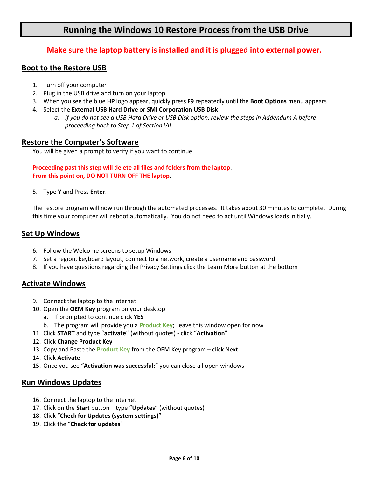## **Running the Windows 10 Restore Process from the USB Drive**

## **Make sure the laptop battery is installed and it is plugged into external power.**

## **Boot to the Restore USB**

- 1. Turn off your computer
- 2. Plug in the USB drive and turn on your laptop
- 3. When you see the blue **HP** logo appear, quickly press **F9** repeatedly until the **Boot Options** menu appears
- 4. Select the **External USB Hard Drive** or **SMI Corporation USB Disk**
	- *a. If you do not see a USB Hard Drive or USB Disk option, review the steps in Addendum A before proceeding back to Step 1 of Section VII.*

## **Restore the Computer's Software**

You will be given a prompt to verify if you want to continue

## **Proceeding past this step will delete all files and folders from the laptop**. **From this point on, DO NOT TURN OFF THE laptop**.

5. Type **Y** and Press **Enter**.

The restore program will now run through the automated processes. It takes about 30 minutes to complete. During this time your computer will reboot automatically. You do not need to act until Windows loads initially.

## **Set Up Windows**

- 6. Follow the Welcome screens to setup Windows
- 7. Set a region, keyboard layout, connect to a network, create a username and password
- 8. If you have questions regarding the Privacy Settings click the Learn More button at the bottom

## **Activate Windows**

- 9. Connect the laptop to the internet
- 10. Open the **OEM Key** program on your desktop
	- a. If prompted to continue click **YES**
	- b. The program will provide you a **Product Key**; Leave this window open for now
- 11. Click **START** and type "**activate**" (without quotes) click "**Activation**"
- 12. Click **Change Product Key**
- 13. Copy and Paste the **Product Key** from the OEM Key program click Next
- 14. Click **Activate**
- 15. Once you see "**Activation was successful**;" you can close all open windows

## **Run Windows Updates**

- 16. Connect the laptop to the internet
- 17. Click on the **Start** button type "**Updates**" (without quotes)
- 18. Click "**Check for Updates (system settings)**"
- 19. Click the "**Check for updates**"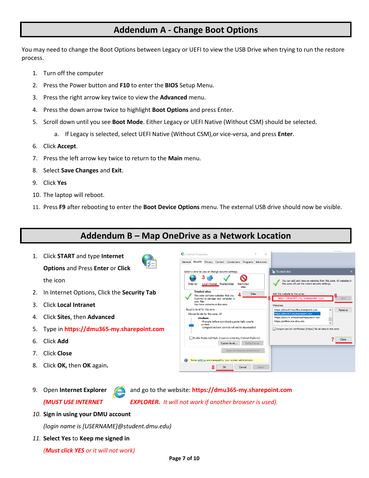## **Addendum A - Change Boot Options**

You may need to change the Boot Options between Legacy or UEFI to view the USB Drive when trying to run the restore process.

- 1. Turn off the computer
- 2. Press the Power button and **F10** to enter the **BIOS** Setup Menu.
- 3. Press the right arrow key twice to view the **Advanced** menu.
- 4. Press the down arrow twice to highlight **Boot Options** and press Enter.
- 5. Scroll down until you see **Boot Mode**. Either Legacy or UEFI Native (Without CSM) should be selected.
	- a. If Legacy is selected, select UEFI Native (Without CSM),or vice-versa, and press **Enter**.
- 6. Click **Accept**.
- 7. Press the left arrow key twice to return to the **Main** menu.
- 8. Select **Save Changes** and **Exit**.
- 9. Click **Yes**
- 10. The laptop will reboot.
- 11. Press **F9** after rebooting to enter the **Boot Device Options** menu. The external USB drive should now be visible.

## **Addendum B – Map OneDrive as a Network Location**

1. Click **START** and type **Internet Options** and Press **Enter** or **Click**

the icon

- 2. In Internet Options, Click the **Security Tab**
- 3. Click **Local Intranet**
- 4. Click **Sites**, then **Advanced**
- 5. Type in **[https://dmu365-my.sharepoint.com](https://dmu365-my.sharepoint.com/)**
- 6. Click **Add**
- 7. Click **Close**
- 8. Click **OK,** then **OK** again**.**
- 

9. Open **Internet Explorer** and go to the website: **https://dmu365-my.sharepoint.com** *(MUST USE INTERNET EXPLORER. It will not work if another browser is used).*

*10.* **Sign in using your DMU account**

*(login name is [USERNAME]@student.dmu.edu)*

*11.* **Select Yes** to **Keep me signed in**

*(Must click YES or it will not work)*

|                                     |         |                                                                                                                 | General Security Privacy Content Connections Programs Advanced |                     |                |                                                                                      |  |                                                                 |
|-------------------------------------|---------|-----------------------------------------------------------------------------------------------------------------|----------------------------------------------------------------|---------------------|----------------|--------------------------------------------------------------------------------------|--|-----------------------------------------------------------------|
|                                     |         |                                                                                                                 | Select a zone to view or change security settings.             |                     |                | <b>Trusted sites</b>                                                                 |  | $\times$                                                        |
| Internet                            |         | Local intranet Trusted sites                                                                                    |                                                                | Restricted<br>sites |                | this zone will use the zone's security settings.                                     |  | You can add and remove websites from this zone. All websites in |
| <b>Trusted sites</b><br>vour files. |         | This zone contains websites that you<br>trust not to damage your computer or<br>You have websites in this zone. |                                                                | <b>Sites</b>        | 5<br>Websites: | Add this website to the zone:<br>https://dmu365-my.sharepoint.com                    |  | Add                                                             |
| Security level for this zone        |         |                                                                                                                 |                                                                |                     |                | https://dmu365-myfiles.sharepoint.com                                                |  | Remove                                                          |
| Allowed levels for this zone: All   |         |                                                                                                                 |                                                                |                     |                | https://dmu365-mysharepoint.com<br>https://secure.athenahealthpayment.com            |  |                                                                 |
|                                     | Medium  |                                                                                                                 | - Prompts before downloading potentially unsafe                |                     |                | https://selfservice.dmu.edu                                                          |  |                                                                 |
|                                     | content |                                                                                                                 | - Unsigned ActiveX controls will not be downloaded             |                     |                | $\sqrt{\phantom{a}}$ Require server verification (https:) for all sites in this zone |  |                                                                 |
|                                     |         |                                                                                                                 | Enable Protected Mode (requires restarting Internet Explorer)  |                     |                |                                                                                      |  | Close                                                           |
|                                     |         |                                                                                                                 | Custom level                                                   | Default level       |                |                                                                                      |  |                                                                 |
|                                     |         |                                                                                                                 | Reset all zones to default level                               |                     |                |                                                                                      |  |                                                                 |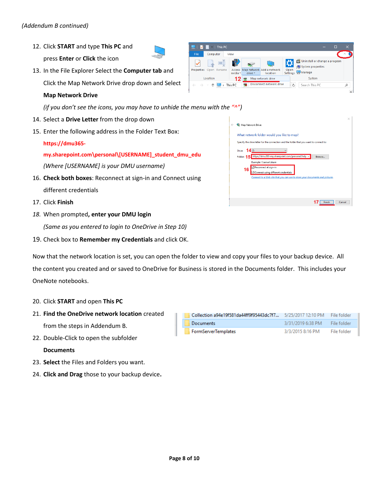- 12. Click **START** and type **This PC** and press **Enter** or **Click** the icon
- 13. In the File Explorer Select the **Computer tab** and Click the Map Network Drive drop down and Select

### **Map Network Drive**

*(if you don't see the icons, you may have to unhide the menu with the "^")*

- 14. Select a **Drive Letter** from the drop down
- 15. Enter the following address in the Folder Text Box:

#### **https://dmu365-**

**my.sharepoint.com\personal\[USERNAME]\_student\_dmu\_edu** *(Where [USERNAME] is your DMU username)*

- 16. **Check both boxes**: Reconnect at sign-in and Connect using different credentials
- 17. Click **Finish**
- *18.* When prompted**, enter your DMU login**

*(Same as you entered to login to OneDrive in Step 10)*

19. Check box to **Remember my Credentials** and click OK.

Now that the network location is set, you can open the folder to view and copy your files to your backup device. All the content you created and or saved to OneDrive for Business is stored in the Documents folder. This includes your OneNote notebooks.

- 20. Click **START** and open **This PC**
- 21. **Find the OneDrive network location** created from the steps in Addendum B.
- 22. Double-Click to open the subfolder

#### **Documents**

- 23. **Select** the Files and Folders you want.
- 24. **Click and Drag** those to your backup device**.**

| Collection a94e19f581da44ff9f95443dc7f7 5/25/2017 12:10 PM File folder |                               |             |
|------------------------------------------------------------------------|-------------------------------|-------------|
| Documents                                                              | 3/31/2019 6:38 PM File folder |             |
| FormServerTemplates                                                    | 3/3/2015 8:16 PM              | File folder |



This PC  $\pm$ 

|   |                                                                                                                                                                                                                                                                                                                                                                                                                     | × |  |
|---|---------------------------------------------------------------------------------------------------------------------------------------------------------------------------------------------------------------------------------------------------------------------------------------------------------------------------------------------------------------------------------------------------------------------|---|--|
| ← | Map Network Drive                                                                                                                                                                                                                                                                                                                                                                                                   |   |  |
|   | What network folder would you like to map?<br>Specify the drive letter for the connection and the folder that you want to connect to:<br>Drive: $14$ Z:<br>https://dmu365-my.sharepoint.com/personal/help <<br>Folder: 15<br>Browse<br>Example: \\server\share<br>Reconnect at sign-in<br>16<br>Connect using different credentials<br>Connect to a Web site that you can use to store your documents and pictures. |   |  |
|   | Cancel<br>Finish                                                                                                                                                                                                                                                                                                                                                                                                    |   |  |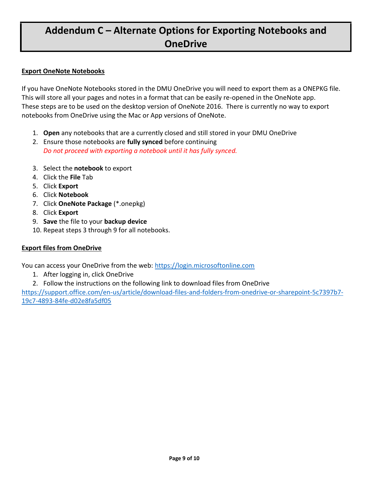## **Addendum C – Alternate Options for Exporting Notebooks and OneDrive**

## **Export OneNote Notebooks**

If you have OneNote Notebooks stored in the DMU OneDrive you will need to export them as a ONEPKG file. This will store all your pages and notes in a format that can be easily re-opened in the OneNote app. These steps are to be used on the desktop version of OneNote 2016. There is currently no way to export notebooks from OneDrive using the Mac or App versions of OneNote.

- 1. **Open** any notebooks that are a currently closed and still stored in your DMU OneDrive
- 2. Ensure those notebooks are **fully synced** before continuing *Do not proceed with exporting a notebook until it has fully synced.*
- 3. Select the **notebook** to export
- 4. Click the **File** Tab
- 5. Click **Export**
- 6. Click **Notebook**
- 7. Click **OneNote Package** (\*.onepkg)
- 8. Click **Export**
- 9. **Save** the file to your **backup device**
- 10. Repeat steps 3 through 9 for all notebooks.

## **Export files from OneDrive**

You can access your OneDrive from the web: [https://login.microsoftonline.com](https://login.microsoftonline.com/)

- 1. After logging in, click OneDrive
- 2. Follow the instructions on the following link to download files from OneDrive

[https://support.office.com/en-us/article/download-files-and-folders-from-onedrive-or-sharepoint-5c7397b7-](https://support.office.com/en-us/article/download-files-and-folders-from-onedrive-or-sharepoint-5c7397b7-19c7-4893-84fe-d02e8fa5df05) [19c7-4893-84fe-d02e8fa5df05](https://support.office.com/en-us/article/download-files-and-folders-from-onedrive-or-sharepoint-5c7397b7-19c7-4893-84fe-d02e8fa5df05)